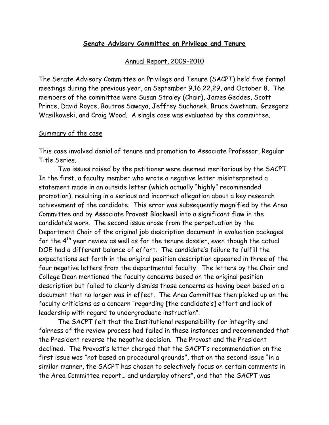## **Senate Advisory Committee on Privilege and Tenure**

## Annual Report, 2009-2010

The Senate Advisory Committee on Privilege and Tenure (SACPT) held five formal meetings during the previous year, on September 9,16,22,29, and October 8. The members of the committee were Susan Straley (Chair), James Geddes, Scott Prince, David Royce, Boutros Sawaya, Jeffrey Suchanek, Bruce Swetnam, Grzegorz Wasilkowski, and Craig Wood. A single case was evaluated by the committee.

## Summary of the case

This case involved denial of tenure and promotion to Associate Professor, Regular Title Series.

Two issues raised by the petitioner were deemed meritorious by the SACPT. In the first, a faculty member who wrote a negative letter misinterpreted a statement made in an outside letter (which actually "highly" recommended promotion), resulting in a serious and incorrect allegation about a key research achievement of the candidate. This error was subsequently magnified by the Area Committee and by Associate Provost Blackwell into a significant flaw in the candidate's work. The second issue arose from the perpetuation by the Department Chair of the original job description document in evaluation packages for the  $4<sup>th</sup>$  year review as well as for the tenure dossier, even though the actual DOE had a different balance of effort. The candidate's failure to fulfill the expectations set forth in the original position description appeared in three of the four negative letters from the departmental faculty. The letters by the Chair and College Dean mentioned the faculty concerns based on the original position description but failed to clearly dismiss those concerns as having been based on a document that no longer was in effect. The Area Committee then picked up on the faculty criticisms as a concern "regarding [the candidate's] effort and lack of leadership with regard to undergraduate instruction".

The SACPT felt that the Institutional responsibility for integrity and fairness of the review process had failed in these instances and recommended that the President reverse the negative decision. The Provost and the President declined. The Provost's letter charged that the SACPT's recommendation on the first issue was "not based on procedural grounds", that on the second issue "in a similar manner, the SACPT has chosen to selectively focus on certain comments in the Area Committee report… and underplay others", and that the SACPT was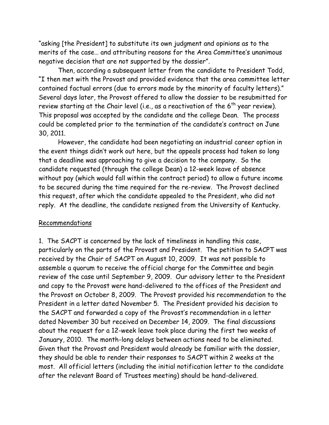"asking [the President] to substitute its own judgment and opinions as to the merits of the case… and attributing reasons for the Area Committee's unanimous negative decision that are not supported by the dossier".

Then, according a subsequent letter from the candidate to President Todd, "I then met with the Provost and provided evidence that the area committee letter contained factual errors (due to errors made by the minority of faculty letters)." Several days later, the Provost offered to allow the dossier to be resubmitted for review starting at the Chair level (i.e., as a reactivation of the  $6^{th}$  year review). This proposal was accepted by the candidate and the college Dean. The process could be completed prior to the termination of the candidate's contract on June 30, 2011.

However, the candidate had been negotiating an industrial career option in the event things didn't work out here, but the appeals process had taken so long that a deadline was approaching to give a decision to the company. So the candidate requested (through the college Dean) a 12-week leave of absence without pay (which would fall within the contract period) to allow a future income to be secured during the time required for the re-review. The Provost declined this request, after which the candidate appealed to the President, who did not reply. At the deadline, the candidate resigned from the University of Kentucky.

## Recommendations

1. The SACPT is concerned by the lack of timeliness in handling this case, particularly on the parts of the Provost and President. The petition to SACPT was received by the Chair of SACPT on August 10, 2009. It was not possible to assemble a quorum to receive the official charge for the Committee and begin review of the case until September 9, 2009. Our advisory letter to the President and copy to the Provost were hand-delivered to the offices of the President and the Provost on October 8, 2009. The Provost provided his recommendation to the President in a letter dated November 5. The President provided his decision to the SACPT and forwarded a copy of the Provost's recommendation in a letter dated November 30 but received on December 14, 2009. The final discussions about the request for a 12-week leave took place during the first two weeks of January, 2010. The month-long delays between actions need to be eliminated. Given that the Provost and President would already be familiar with the dossier, they should be able to render their responses to SACPT within 2 weeks at the most. All official letters (including the initial notification letter to the candidate after the relevant Board of Trustees meeting) should be hand-delivered.